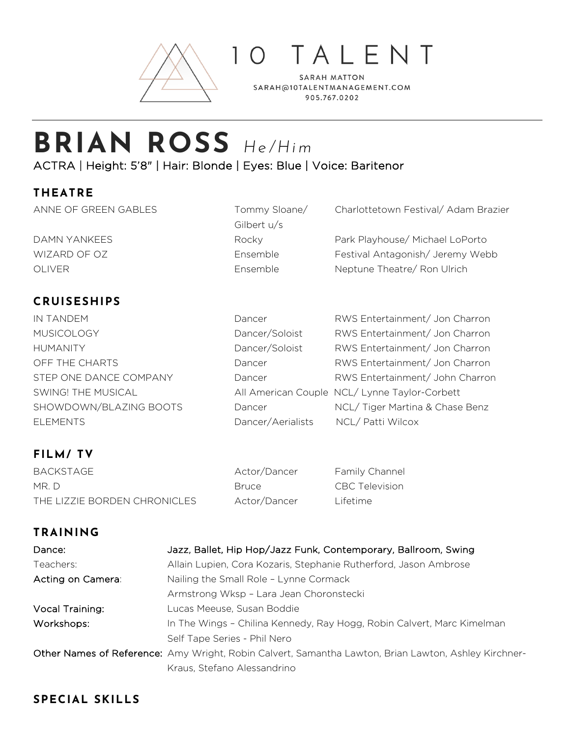

TALENT

**SARAH MATTON** SARAH@10TALENTMANAGEMENT.COM 905.767.0202

# **BRIAN ROSS** *He/Him* ACTRA | Height: 5'8" | Hair: Blonde | Eyes: Blue | Voice: Baritenor

#### **THEATRE**

ANNE OF GREEN GABLES Tommy Sloane/ Charlottetown Festival/Adam Brazier Gilbert u/s DAMN YANKEES Rocky Park Playhouse/ Michael LoPorto WIZARD OF OZ **Ensemble** Festival Antagonish/ Jeremy Webb OLIVER Ensemble Neptune Theatre/ Ron Ulrich

## **CRUISESHIPS**

IN TANDEM Dancer RWS Entertainment/ Jon Charron MUSICOLOGY **Dancer/Soloist** RWS Entertainment/ Jon Charron HUMANITY Dancer/Soloist RWS Entertainment/ Jon Charron OFF THE CHARTS **Dancer** Dancer RWS Entertainment/ Jon Charron STEP ONE DANCE COMPANY Dancer RWS Entertainment/ John Charron SWING! THE MUSICAL All American Couple NCL/ Lynne Taylor-Corbett SHOWDOWN/BLAZING BOOTS Dancer NCL/ Tiger Martina & Chase Benz ELEMENTS Dancer/Aerialists NCL/ Patti Wilcox

## **FILM/ TV**

BACKSTAGE Actor/Dancer Family Channel MR. D Bruce CBC Television THE LIZZIE BORDEN CHRONICLES Actor/Dancer Lifetime

### **TRAINING**

| Dance:            | Jazz, Ballet, Hip Hop/Jazz Funk, Contemporary, Ballroom, Swing                                       |
|-------------------|------------------------------------------------------------------------------------------------------|
| Teachers:         | Allain Lupien, Cora Kozaris, Stephanie Rutherford, Jason Ambrose                                     |
| Acting on Camera: | Nailing the Small Role - Lynne Cormack                                                               |
|                   | Armstrong Wksp - Lara Jean Choronstecki                                                              |
| Vocal Training:   | Lucas Meeuse, Susan Boddie                                                                           |
| Workshops:        | In The Wings - Chilina Kennedy, Ray Hogg, Robin Calvert, Marc Kimelman                               |
|                   | Self Tape Series - Phil Nero                                                                         |
|                   | Other Names of Reference: Amy Wright, Robin Calvert, Samantha Lawton, Brian Lawton, Ashley Kirchner- |
|                   | Kraus, Stefano Alessandrino                                                                          |

#### **SPECIAL SKILLS**